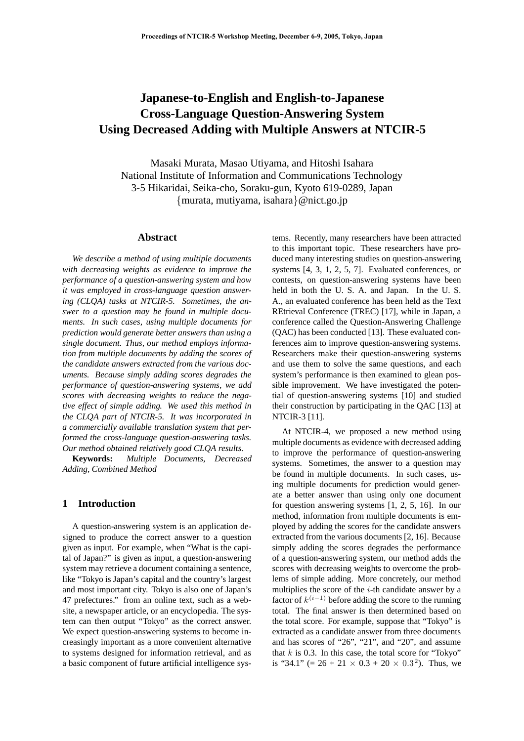# **Japanese-to-English and English-to-Japanese Cross-Language Question-Answering System Using Decreased Adding with Multiple Answers at NTCIR-5**

Masaki Murata, Masao Utiyama, and Hitoshi Isahara National Institute of Information and Communications Technology 3-5 Hikaridai, Seika-cho, Soraku-gun, Kyoto 619-0289, Japan *{*murata, mutiyama, isahara*}*@nict.go.jp

# **Abstract**

*We describe a method of using multiple documents with decreasing weights as evidence to improve the performance of a question-answering system and how it was employed in cross-language question answering (CLQA) tasks at NTCIR-5. Sometimes, the answer to a question may be found in multiple documents. In such cases, using multiple documents for prediction would generate better answers than using a single document. Thus, our method employs information from multiple documents by adding the scores of the candidate answers extracted from the various documents. Because simply adding scores degrades the performance of question-answering systems, we add scores with decreasing weights to reduce the negative effect of simple adding. We used this method in the CLQA part of NTCIR-5. It was incorporated in a commercially available translation system that performed the cross-language question-answering tasks. Our method obtained relatively good CLQA results.*

**Keywords:** *Multiple Documents, Decreased Adding, Combined Method*

#### **1 Introduction**

A question-answering system is an application designed to produce the correct answer to a question given as input. For example, when "What is the capital of Japan?" is given as input, a question-answering system may retrieve a document containing a sentence, like "Tokyo is Japan's capital and the country's largest and most important city. Tokyo is also one of Japan's 47 prefectures." from an online text, such as a website, a newspaper article, or an encyclopedia. The system can then output "Tokyo" as the correct answer. We expect question-answering systems to become increasingly important as a more convenient alternative to systems designed for information retrieval, and as a basic component of future artificial intelligence systems. Recently, many researchers have been attracted to this important topic. These researchers have produced many interesting studies on question-answering systems [4, 3, 1, 2, 5, 7]. Evaluated conferences, or contests, on question-answering systems have been held in both the U. S. A. and Japan. In the U. S. A., an evaluated conference has been held as the Text REtrieval Conference (TREC) [17], while in Japan, a conference called the Question-Answering Challenge (QAC) has been conducted [13]. These evaluated conferences aim to improve question-answering systems. Researchers make their question-answering systems and use them to solve the same questions, and each system's performance is then examined to glean possible improvement. We have investigated the potential of question-answering systems [10] and studied their construction by participating in the QAC [13] at NTCIR-3 [11].

At NTCIR-4, we proposed a new method using multiple documents as evidence with decreased adding to improve the performance of question-answering systems. Sometimes, the answer to a question may be found in multiple documents. In such cases, using multiple documents for prediction would generate a better answer than using only one document for question answering systems [1, 2, 5, 16]. In our method, information from multiple documents is employed by adding the scores for the candidate answers extracted from the various documents [2, 16]. Because simply adding the scores degrades the performance of a question-answering system, our method adds the scores with decreasing weights to overcome the problems of simple adding. More concretely, our method multiplies the score of the *i*-th candidate answer by a factor of  $k^{(i-1)}$  before adding the score to the running total. The final answer is then determined based on the total score. For example, suppose that "Tokyo" is extracted as a candidate answer from three documents and has scores of "26", "21", and "20", and assume that  $k$  is 0.3. In this case, the total score for "Tokyo" is "34.1" (=  $26 + 21 \times 0.3 + 20 \times 0.3^2$ ). Thus, we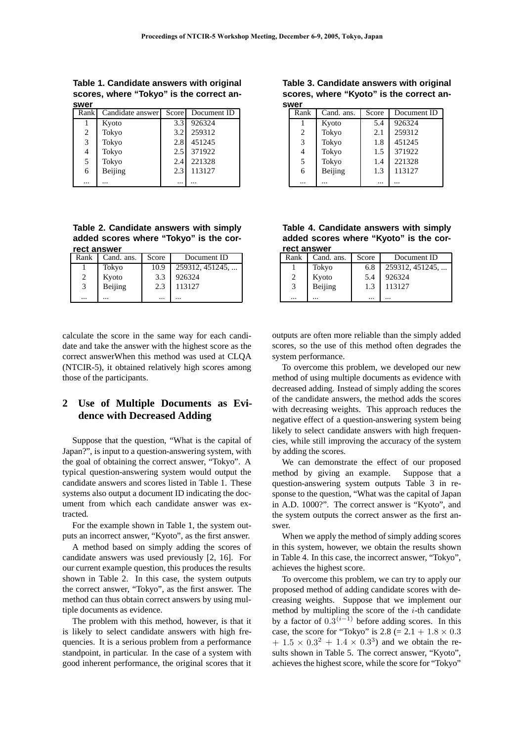**Table 1. Candidate answers with original scores, where "Tokyo" is the correct answer**

| Rank           | Candidate answer | Score    | Document ID |
|----------------|------------------|----------|-------------|
|                | Kyoto            | 3.3      | 926324      |
| 2              | Tokyo            | 3.2      | 259312      |
| 3              | Tokyo            | 2.8      | 451245      |
| $\overline{4}$ | Tokyo            | 2.5      | 371922      |
| 5              | Tokyo            | 2.4      | 221328      |
| 6              | Beijing          | 2.3      | 113127      |
|                |                  | $\cdots$ |             |

**Table 2. Candidate answers with simply added scores where "Tokyo" is the correct answer**

| Rank | Cand. ans. | Score    | Document ID     |
|------|------------|----------|-----------------|
|      | Tokyo      | 10.9     | 259312, 451245, |
| 2    | Kyoto      | 3.3      | 926324          |
| 3    | Beijing    | 2.3      | 113127          |
|      |            | $\cdots$ |                 |

calculate the score in the same way for each candidate and take the answer with the highest score as the correct answerWhen this method was used at CLQA (NTCIR-5), it obtained relatively high scores among those of the participants.

# **2 Use of Multiple Documents as Evidence with Decreased Adding**

Suppose that the question, "What is the capital of Japan?", is input to a question-answering system, with the goal of obtaining the correct answer, "Tokyo". A typical question-answering system would output the candidate answers and scores listed in Table 1. These systems also output a document ID indicating the document from which each candidate answer was extracted.

For the example shown in Table 1, the system outputs an incorrect answer, "Kyoto", as the first answer.

A method based on simply adding the scores of candidate answers was used previously [2, 16]. For our current example question, this produces the results shown in Table 2. In this case, the system outputs the correct answer, "Tokyo", as the first answer. The method can thus obtain correct answers by using multiple documents as evidence.

The problem with this method, however, is that it is likely to select candidate answers with high frequencies. It is a serious problem from a performance standpoint, in particular. In the case of a system with good inherent performance, the original scores that it

**Table 3. Candidate answers with original scores, where "Kyoto" is the correct answer**

| Rank           | Cand. ans. | Score    | Document ID |
|----------------|------------|----------|-------------|
|                | Kyoto      | 5.4      | 926324      |
| $\overline{c}$ | Tokyo      | 2.1      | 259312      |
| 3              | Tokyo      | 1.8      | 451245      |
| 4              | Tokyo      | 1.5      | 371922      |
| 5              | Tokyo      | 1.4      | 221328      |
| 6              | Beijing    | 1.3      | 113127      |
|                |            | $\cdots$ |             |

**Table 4. Candidate answers with simply added scores where "Kyoto" is the correct answer**

| Rank     | Cand. ans. | Score | Document ID     |  |  |  |  |  |  |
|----------|------------|-------|-----------------|--|--|--|--|--|--|
|          | Tokyo      | 6.8   | 259312, 451245, |  |  |  |  |  |  |
| 2        | Kyoto      | 5.4   | 926324          |  |  |  |  |  |  |
| 3        | Beijing    | 1.3   | 113127          |  |  |  |  |  |  |
| $\cdots$ |            |       |                 |  |  |  |  |  |  |

outputs are often more reliable than the simply added scores, so the use of this method often degrades the system performance.

To overcome this problem, we developed our new method of using multiple documents as evidence with decreased adding. Instead of simply adding the scores of the candidate answers, the method adds the scores with decreasing weights. This approach reduces the negative effect of a question-answering system being likely to select candidate answers with high frequencies, while still improving the accuracy of the system by adding the scores.

We can demonstrate the effect of our proposed method by giving an example. Suppose that a question-answering system outputs Table 3 in response to the question, "What was the capital of Japan in A.D. 1000?". The correct answer is "Kyoto", and the system outputs the correct answer as the first answer.

When we apply the method of simply adding scores in this system, however, we obtain the results shown in Table 4. In this case, the incorrect answer, "Tokyo", achieves the highest score.

To overcome this problem, we can try to apply our proposed method of adding candidate scores with decreasing weights. Suppose that we implement our method by multipling the score of the *i*-th candidate by a factor of  $0.\overline{3}^{(i-1)}$  before adding scores. In this case, the score for "Tokyo" is  $2.8 (= 2.1 + 1.8 \times 0.3)$  $+ 1.5 \times 0.3^2 + 1.4 \times 0.3^3$  and we obtain the results shown in Table 5. The correct answer, "Kyoto", achieves the highest score, while the score for "Tokyo"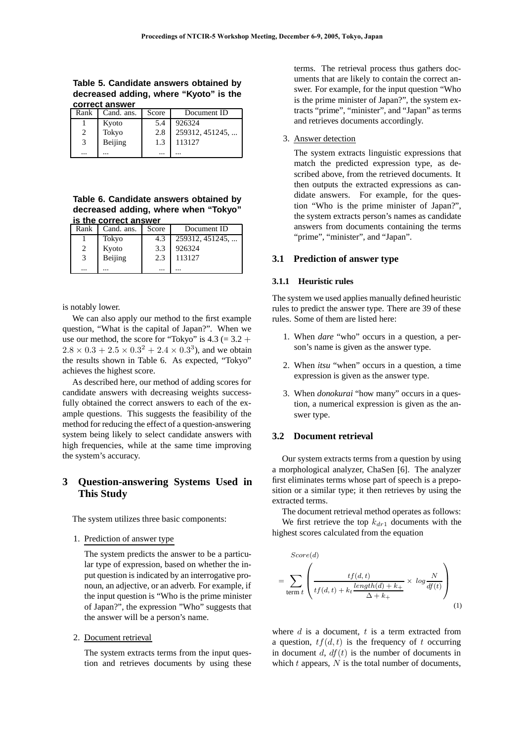**Table 5. Candidate answers obtained by decreased adding, where "Kyoto" is the correct answer**

| Rank | Cand. ans. Score |          | Document ID     |
|------|------------------|----------|-----------------|
|      | Kyoto            | 5.4      | 926324          |
|      | Tokyo            | 2.8      | 259312, 451245, |
| 3    | Beijing          | 1.3      | 113127          |
|      |                  | $\cdots$ |                 |

**Table 6. Candidate answers obtained by decreased adding, where when "Tokyo" is the correct answer**

| Rank     | Cand. ans. | Score | Document ID     |
|----------|------------|-------|-----------------|
|          | Tokyo      | 4.3   | 259312, 451245, |
|          | Kyoto      | 3.3   | 926324          |
| 3        | Beijing    | 2.3   | 113127          |
| $\cdots$ |            |       |                 |

is notably lower.

We can also apply our method to the first example question, "What is the capital of Japan?". When we use our method, the score for "Tokyo" is  $4.3 (= 3.2 +$  $2.8 \times 0.3 + 2.5 \times 0.3^2 + 2.4 \times 0.3^3$ , and we obtain the results shown in Table 6. As expected, "Tokyo" achieves the highest score.

As described here, our method of adding scores for candidate answers with decreasing weights successfully obtained the correct answers to each of the example questions. This suggests the feasibility of the method for reducing the effect of a question-answering system being likely to select candidate answers with high frequencies, while at the same time improving the system's accuracy.

# **3 Question-answering Systems Used in This Study**

The system utilizes three basic components:

#### 1. Prediction of answer type

The system predicts the answer to be a particular type of expression, based on whether the input question is indicated by an interrogative pronoun, an adjective, or an adverb. For example, if the input question is "Who is the prime minister of Japan?", the expression "Who" suggests that the answer will be a person's name.

#### 2. Document retrieval

The system extracts terms from the input question and retrieves documents by using these

terms. The retrieval process thus gathers documents that are likely to contain the correct answer. For example, for the input question "Who is the prime minister of Japan?", the system extracts "prime", "minister", and "Japan" as terms and retrieves documents accordingly.

### 3. Answer detection

The system extracts linguistic expressions that match the predicted expression type, as described above, from the retrieved documents. It then outputs the extracted expressions as candidate answers. For example, for the question "Who is the prime minister of Japan?", the system extracts person's names as candidate answers from documents containing the terms "prime", "minister", and "Japan".

#### **3.1 Prediction of answer type**

#### **3.1.1 Heuristic rules**

The system we used applies manually defined heuristic rules to predict the answer type. There are 39 of these rules. Some of them are listed here:

- 1. When *dare* "who" occurs in a question, a person's name is given as the answer type.
- 2. When *itsu* "when" occurs in a question, a time expression is given as the answer type.
- 3. When *donokurai* "how many" occurs in a question, a numerical expression is given as the answer type.

#### **3.2 Document retrieval**

Our system extracts terms from a question by using a morphological analyzer, ChaSen [6]. The analyzer first eliminates terms whose part of speech is a preposition or a similar type; it then retrieves by using the extracted terms.

The document retrieval method operates as follows: We first retrieve the top *kdr*<sup>1</sup> documents with the highest scores calculated from the equation

$$
Score(d)
$$
  
= 
$$
\sum_{\text{term } t} \left( \frac{tf(d, t)}{tf(d, t) + k_t \frac{length(d) + k_+}{\Delta + k_+}} \times log \frac{N}{df(t)} \right)
$$
 (1)

where *d* is a document, *t* is a term extracted from a question,  $tf(d, t)$  is the frequency of t occurring in document  $d$ ,  $df(t)$  is the number of documents in which *t* appears, *N* is the total number of documents,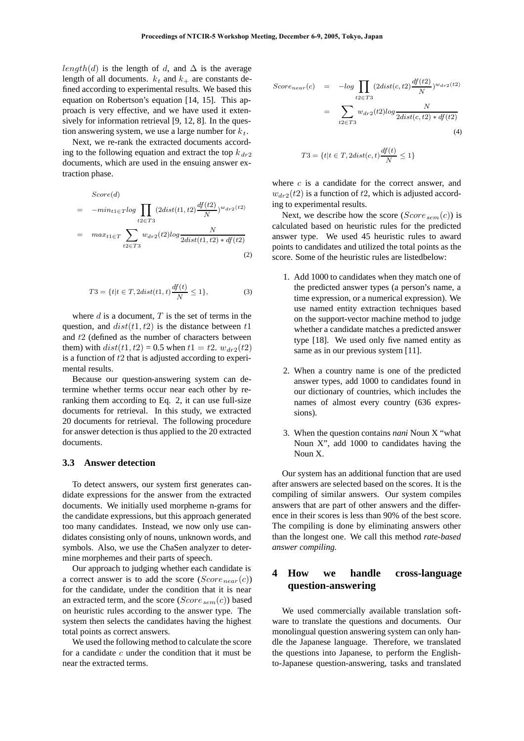*length*(*d*) is the length of *d*, and  $\Delta$  is the average length of all documents.  $k_t$  and  $k_+$  are constants defined according to experimental results. We based this equation on Robertson's equation [14, 15]. This approach is very effective, and we have used it extensively for information retrieval [9, 12, 8]. In the question answering system, we use a large number for *kt*.

Next, we re-rank the extracted documents according to the following equation and extract the top  $k_{dr2}$ documents, which are used in the ensuing answer extraction phase.

$$
Score(d)
$$
  
= 
$$
-min_{t1 \in T} log \prod_{t2 \in T3} (2dist(t1, t2) \frac{df(t2)}{N})^{w_{dr2}(t2)}
$$
  
= 
$$
max_{t1 \in T} \sum_{t2 \in T3} w_{dr2}(t2) log \frac{N}{2dist(t1, t2) * df(t2)}
$$
  
(2)

$$
T3 = \{t | t \in T, 2dist(t1, t) \frac{df(t)}{N} \le 1\},\tag{3}
$$

where *d* is a document, *T* is the set of terms in the question, and *dist*(*t*1*, t*2) is the distance between *t*1 and *t*2 (defined as the number of characters between them) with  $dist(t1, t2) = 0.5$  when  $t1 = t2$ .  $w_{dr2}(t2)$ is a function of *t*2 that is adjusted according to experimental results.

Because our question-answering system can determine whether terms occur near each other by reranking them according to Eq. 2, it can use full-size documents for retrieval. In this study, we extracted 20 documents for retrieval. The following procedure for answer detection is thus applied to the 20 extracted documents.

#### **3.3 Answer detection**

To detect answers, our system first generates candidate expressions for the answer from the extracted documents. We initially used morpheme n-grams for the candidate expressions, but this approach generated too many candidates. Instead, we now only use candidates consisting only of nouns, unknown words, and symbols. Also, we use the ChaSen analyzer to determine morphemes and their parts of speech.

Our approach to judging whether each candidate is a correct answer is to add the score  $(Score_{near}(c))$ for the candidate, under the condition that it is near an extracted term, and the score (*Scoresem*(*c*)) based on heuristic rules according to the answer type. The system then selects the candidates having the highest total points as correct answers.

We used the following method to calculate the score for a candidate *c* under the condition that it must be near the extracted terms.

$$
Score_{near}(c) = -log \prod_{t2 \in T3} (2dist(c, t2) \frac{df(t2)}{N})^{w_{dr2}(t2)}
$$

$$
= \sum_{t2 \in T3} w_{dr2}(t2)log \frac{N}{2dist(c, t2) * df(t2)}
$$
(4)

$$
T3 = \{t | t \in T, 2dist(c, t)\frac{df(t)}{N} \le 1\}
$$

where *c* is a candidate for the correct answer, and  $w_{dr2}(t2)$  is a function of  $t2$ , which is adjusted according to experimental results.

Next, we describe how the score  $(Score_{sem}(c))$  is calculated based on heuristic rules for the predicted answer type. We used 45 heuristic rules to award points to candidates and utilized the total points as the score. Some of the heuristic rules are listedbelow:

- 1. Add 1000 to candidates when they match one of the predicted answer types (a person's name, a time expression, or a numerical expression). We use named entity extraction techniques based on the support-vector machine method to judge whether a candidate matches a predicted answer type [18]. We used only five named entity as same as in our previous system [11].
- 2. When a country name is one of the predicted answer types, add 1000 to candidates found in our dictionary of countries, which includes the names of almost every country (636 expressions).
- 3. When the question contains *nani* Noun X "what Noun X", add 1000 to candidates having the Noun X.

Our system has an additional function that are used after answers are selected based on the scores. It is the compiling of similar answers. Our system compiles answers that are part of other answers and the difference in their scores is less than 90% of the best score. The compiling is done by eliminating answers other than the longest one. We call this method *rate-based answer compiling*.

# **4 How we handle cross-language question-answering**

We used commercially available translation software to translate the questions and documents. Our monolingual question answering system can only handle the Japanese language. Therefore, we translated the questions into Japanese, to perform the Englishto-Japanese question-answering, tasks and translated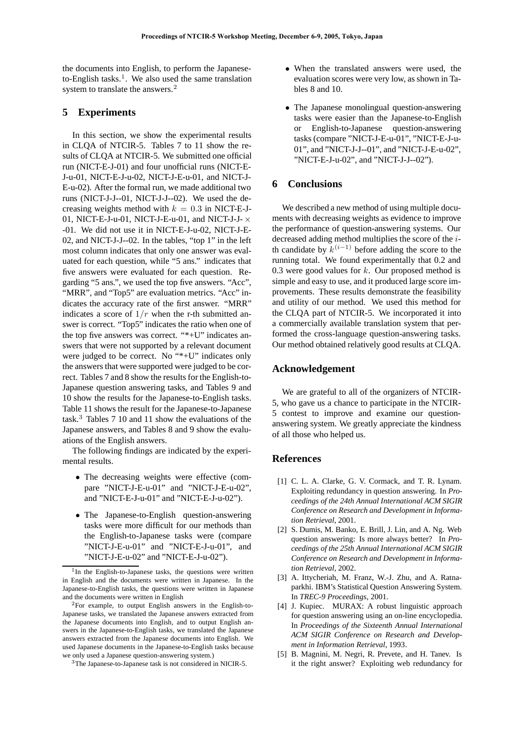the documents into English, to perform the Japaneseto-English tasks.<sup>1</sup>. We also used the same translation system to translate the answers.<sup>2</sup>

## **5 Experiments**

In this section, we show the experimental results in CLQA of NTCIR-5. Tables 7 to 11 show the results of CLQA at NTCIR-5. We submitted one official run (NICT-E-J-01) and four unofficial runs (NICT-E-J-u-01, NICT-E-J-u-02, NICT-J-E-u-01, and NICT-J-E-u-02). After the formal run, we made additional two runs (NICT-J-J--01, NICT-J-J--02). We used the decreasing weights method with  $k = 0.3$  in NICT-E-J-01, NICT-E-J-u-01, NICT-J-E-u-01, and NICT-J-J- *×* -01. We did not use it in NICT-E-J-u-02, NICT-J-E-02, and NICT-J-J--02. In the tables, "top 1" in the left most column indicates that only one answer was evaluated for each question, while "5 ans." indicates that five answers were evaluated for each question. Regarding "5 ans.", we used the top five answers. "Acc", "MRR", and "Top5" are evaluation metrics. "Acc" indicates the accuracy rate of the first answer. "MRR" indicates a score of  $1/r$  when the r-th submitted answer is correct. "Top5" indicates the ratio when one of the top five answers was correct. "\*+U" indicates answers that were not supported by a relevant document were judged to be correct. No "\*+U" indicates only the answers that were supported were judged to be correct. Tables 7 and 8 show the results for the English-to-Japanese question answering tasks, and Tables 9 and 10 show the results for the Japanese-to-English tasks. Table 11 shows the result for the Japanese-to-Japanese task.<sup>3</sup> Tables 7 10 and 11 show the evaluations of the Japanese answers, and Tables 8 and 9 show the evaluations of the English answers.

The following findings are indicated by the experimental results.

- *•* The decreasing weights were effective (compare "NICT-J-E-u-01" and "NICT-J-E-u-02", and "NICT-E-J-u-01" and "NICT-E-J-u-02").
- *•* The Japanese-to-English question-answering tasks were more difficult for our methods than the English-to-Japanese tasks were (compare "NICT-J-E-u-01" and "NICT-E-J-u-01", and "NICT-J-E-u-02" and "NICT-E-J-u-02").
- *•* When the translated answers were used, the evaluation scores were very low, as shown in Tables 8 and 10.
- The Japanese monolingual question-answering tasks were easier than the Japanese-to-English or English-to-Japanese question-answering tasks (compare "NICT-J-E-u-01", "NICT-E-J-u-01", and "NICT-J-J--01", and "NICT-J-E-u-02", "NICT-E-J-u-02", and "NICT-J-J--02").

## **6 Conclusions**

We described a new method of using multiple documents with decreasing weights as evidence to improve the performance of question-answering systems. Our decreased adding method multiplies the score of the *i*th candidate by  $k^{(i-1)}$  before adding the score to the running total. We found experimentally that 0.2 and 0.3 were good values for *k*. Our proposed method is simple and easy to use, and it produced large score improvements. These results demonstrate the feasibility and utility of our method. We used this method for the CLQA part of NTCIR-5. We incorporated it into a commercially available translation system that performed the cross-language question-answering tasks. Our method obtained relatively good results at CLQA.

# **Acknowledgement**

We are grateful to all of the organizers of NTCIR-5, who gave us a chance to participate in the NTCIR-5 contest to improve and examine our questionanswering system. We greatly appreciate the kindness of all those who helped us.

### **References**

- [1] C. L. A. Clarke, G. V. Cormack, and T. R. Lynam. Exploiting redundancy in question answering. In *Proceedings of the 24th Annual International ACM SIGIR Conference on Research and Development in Information Retrieval*, 2001.
- [2] S. Dumis, M. Banko, E. Brill, J. Lin, and A. Ng. Web question answering: Is more always better? In *Proceedings of the 25th Annual International ACM SIGIR Conference on Research and Development in Information Retrieval*, 2002.
- [3] A. Ittycheriah, M. Franz, W.-J. Zhu, and A. Ratnaparkhi. IBM's Statistical Question Answering System. In *TREC-9 Proceedings*, 2001.
- [4] J. Kupiec. MURAX: A robust linguistic approach for question answering using an on-line encyclopedia. In *Proceedings of the Sixteenth Annual International ACM SIGIR Conference on Research and Development in Information Retrieval*, 1993.
- [5] B. Magnini, M. Negri, R. Prevete, and H. Tanev. Is it the right answer? Exploiting web redundancy for

<sup>&</sup>lt;sup>1</sup>In the English-to-Japanese tasks, the questions were written in English and the documents were written in Japanese. In the Japanese-to-English tasks, the questions were written in Japanese and the documents were written in English

<sup>2</sup>For example, to output English answers in the English-to-Japanese tasks, we translated the Japanese answers extracted from the Japanese documents into English, and to output English answers in the Japanese-to-English tasks, we translated the Japanese answers extracted from the Japanese documents into English. We used Japanese documents in the Japanese-to-English tasks because we only used a Japanese question-answering system.)

<sup>3</sup>The Japanese-to-Japanese task is not considered in NICIR-5.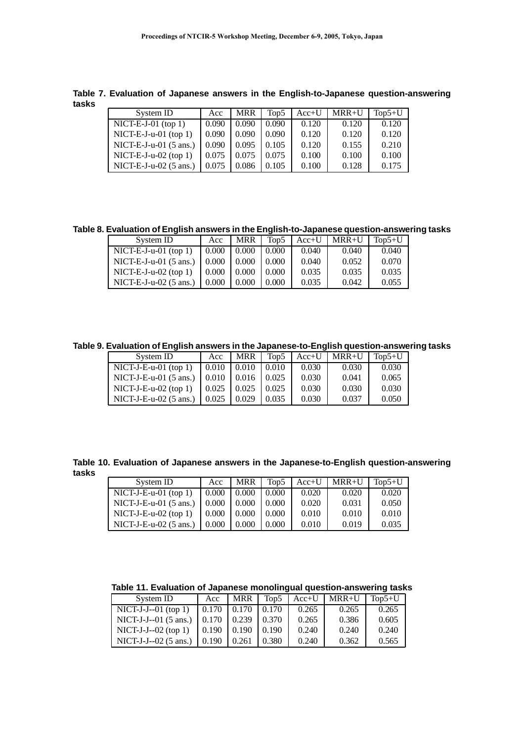**Table 7. Evaluation of Japanese answers in the English-to-Japanese question-answering tasks**

| System ID                        | Acc   | <b>MRR</b> | Top <sub>5</sub> | $Acc+U$ | $MRR+U$ | $Top5+U$ |
|----------------------------------|-------|------------|------------------|---------|---------|----------|
| $NICT-E-J-01$ (top 1)            | 0.090 | 0.090      | 0.090            | 0.120   | 0.120   | 0.120    |
| NICT-E-J-u-01 (top 1)            | 0.090 | 0.090      | 0.090            | 0.120   | 0.120   | 0.120    |
| NICT-E-J-u-01 $(5 \text{ ans.})$ | 0.090 | 0.095      | 0.105            | 0.120   | 0.155   | 0.210    |
| $NICT-E-J-u-02$ (top 1)          | 0.075 | 0.075      | 0.075            | 0.100   | 0.100   | 0.100    |
| NICT-E-J- $u$ -02 (5 ans.)       | 0.075 | 0.086      | 0.105            | 0.100   | 0.128   | 0.175    |

**Table 8. Evaluation of English answers in the English-to-Japanese question-answering tasks**

| System ID                        | Acc   | <b>MRR</b> | Top5  | $Acc+U$ | $MRR+U$ | $Top5+U$ |
|----------------------------------|-------|------------|-------|---------|---------|----------|
| $NICT-E-J-u-01$ (top 1)          | 0.000 | 0.000      | 0.000 | 0.040   | 0.040   | 0.040    |
| NICT-E-J-u-01 $(5 \text{ ans.})$ | 0.000 | 0.000      | 0.000 | 0.040   | 0.052   | 0.070    |
| $NICT-E-J-u-02$ (top 1)          | 0.000 | 0.000      | 0.000 | 0.035   | 0.035   | 0.035    |
| NICT-E-J-u-02 $(5 \text{ ans.})$ | 0.000 | 0.000      | 0.000 | 0.035   | 0.042   | 0.055    |

**Table 9. Evaluation of English answers in the Japanese-to-English question-answering tasks**

| System ID                        | Acc               | <b>MRR</b> | Top5  | $Acc+U$ | $MRR+U$ | $Top5+U$ |
|----------------------------------|-------------------|------------|-------|---------|---------|----------|
| $NICT-J-E-u-01$ (top 1)          | 0.010             | 0.010      | 0.010 | 0.030   | 0.030   | 0.030    |
| $NICT-J-E-u-01$ (5 ans.)         | 0.010             | 0.016      | 0.025 | 0.030   | 0.041   | 0.065    |
| $NICT-J-E-u-02$ (top 1)          | $\mid 0.025 \mid$ | 0.025      | 0.025 | 0.030   | 0.030   | 0.030    |
| NICT-J-E-u-02 $(5 \text{ ans.})$ | 0.025             | 0.029      | 0.035 | 0.030   | 0.037   | 0.050    |

**Table 10. Evaluation of Japanese answers in the Japanese-to-English question-answering tasks**

| System ID                        | Acc                     | <b>MRR</b> | Top5  |       | $Acc+U$   $MRR+U$   $Top5+U$ |       |
|----------------------------------|-------------------------|------------|-------|-------|------------------------------|-------|
| $NICT-J-E-u-01$ (top 1)          | 0.000                   | 0.000      | 0.000 | 0.020 | 0.020                        | 0.020 |
| NICT-J-E-u-01 $(5 \text{ ans.})$ | $\mid 0.000 \mid 0.000$ |            | 0.000 | 0.020 | 0.031                        | 0.050 |
| NICT-J-E-u-02 (top 1)            | $\mid$ 0.000            | 0.000      | 0.000 | 0.010 | 0.010                        | 0.010 |
| NICT-J-E-u-02 $(5 \text{ ans.})$ | 0.000                   | 0.000      | 0.000 | 0.010 | 0.019                        | 0.035 |

**Table 11. Evaluation of Japanese monolingual question-answering tasks**

| System ID                                                      | Acc   | <b>MRR</b>        | Top5  |       | $Acc+U$ MRR+U | $\Gamma$ Top 5+U |
|----------------------------------------------------------------|-------|-------------------|-------|-------|---------------|------------------|
| NICT-J-J--01 (top 1) $\vert$ 0.170 $\vert$ 0.170 $\vert$ 0.170 |       |                   |       | 0.265 | 0.265         | 0.265            |
| NICT-J-J--01 (5 ans.)   $0.170$   $0.239$   $0.370$            |       |                   |       | 0.265 | 0.386         | 0.605            |
| $NICT-J-J-02$ (top 1)                                          | 0.190 | 10.190            | 0.190 | 0.240 | 0.240         | 0.240            |
| NICT-J-J--02 (5 ans.)   $0.190$                                |       | $\mid 0.261 \mid$ | 0.380 | 0.240 | 0.362         | 0.565            |